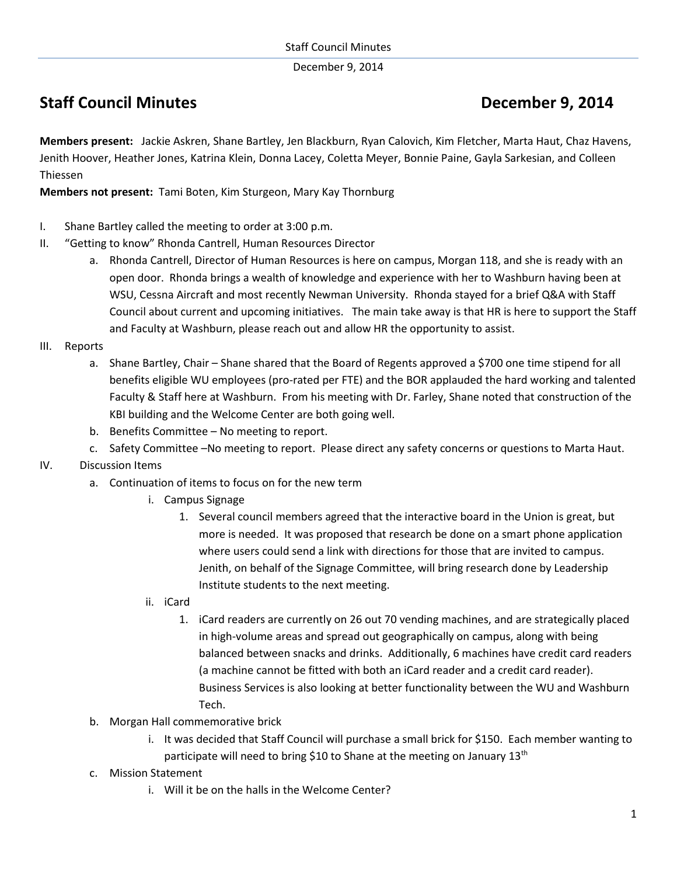December 9, 2014

## **Staff Council Minutes Council Minutes Council Accord Property Council Accord Property Council Accord Property**

**Members present:** Jackie Askren, Shane Bartley, Jen Blackburn, Ryan Calovich, Kim Fletcher, Marta Haut, Chaz Havens, Jenith Hoover, Heather Jones, Katrina Klein, Donna Lacey, Coletta Meyer, Bonnie Paine, Gayla Sarkesian, and Colleen Thiessen

**Members not present:** Tami Boten, Kim Sturgeon, Mary Kay Thornburg

- I. Shane Bartley called the meeting to order at 3:00 p.m.
- II. "Getting to know" Rhonda Cantrell, Human Resources Director
	- a. Rhonda Cantrell, Director of Human Resources is here on campus, Morgan 118, and she is ready with an open door. Rhonda brings a wealth of knowledge and experience with her to Washburn having been at WSU, Cessna Aircraft and most recently Newman University. Rhonda stayed for a brief Q&A with Staff Council about current and upcoming initiatives. The main take away is that HR is here to support the Staff and Faculty at Washburn, please reach out and allow HR the opportunity to assist.
- III. Reports
	- a. Shane Bartley, Chair Shane shared that the Board of Regents approved a \$700 one time stipend for all benefits eligible WU employees (pro-rated per FTE) and the BOR applauded the hard working and talented Faculty & Staff here at Washburn. From his meeting with Dr. Farley, Shane noted that construction of the KBI building and the Welcome Center are both going well.
	- b. Benefits Committee No meeting to report.
	- c. Safety Committee –No meeting to report. Please direct any safety concerns or questions to Marta Haut.
- IV. Discussion Items
	- a. Continuation of items to focus on for the new term
		- i. Campus Signage
			- 1. Several council members agreed that the interactive board in the Union is great, but more is needed. It was proposed that research be done on a smart phone application where users could send a link with directions for those that are invited to campus. Jenith, on behalf of the Signage Committee, will bring research done by Leadership Institute students to the next meeting.
		- ii. iCard
			- 1. iCard readers are currently on 26 out 70 vending machines, and are strategically placed in high-volume areas and spread out geographically on campus, along with being balanced between snacks and drinks. Additionally, 6 machines have credit card readers (a machine cannot be fitted with both an iCard reader and a credit card reader). Business Services is also looking at better functionality between the WU and Washburn Tech.
	- b. Morgan Hall commemorative brick
		- i. It was decided that Staff Council will purchase a small brick for \$150. Each member wanting to participate will need to bring \$10 to Shane at the meeting on January  $13<sup>th</sup>$
	- c. Mission Statement
		- i. Will it be on the halls in the Welcome Center?